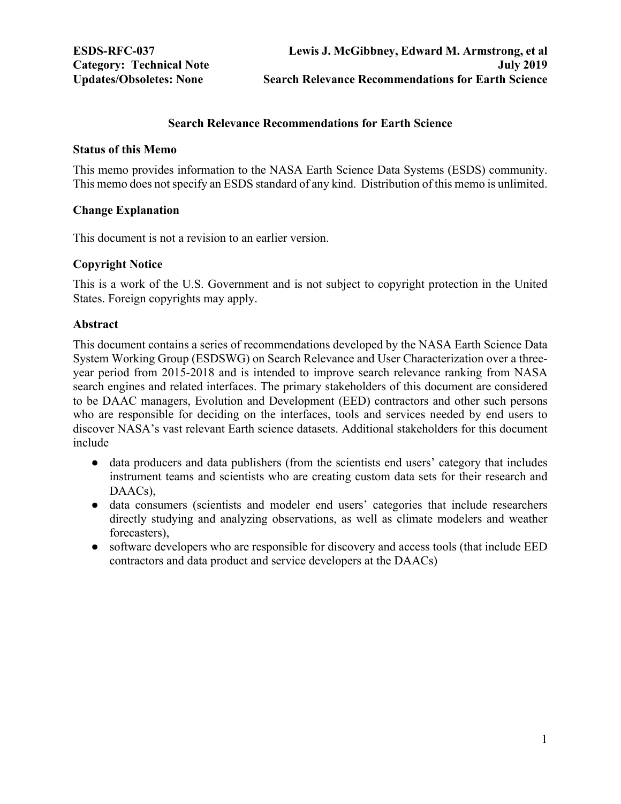## **Search Relevance Recommendations for Earth Science**

#### <span id="page-0-0"></span>**Status of this Memo**

This memo provides information to the NASA Earth Science Data Systems (ESDS) community. This memo does not specify an ESDS standard of any kind. Distribution of this memo is unlimited.

## **Change Explanation**

This document is not a revision to an earlier version.

## **Copyright Notice**

This is a work of the U.S. Government and is not subject to copyright protection in the United States. Foreign copyrights may apply.

## **Abstract**

This document contains a series of recommendations developed by the NASA Earth Science Data System Working Group (ESDSWG) on Search Relevance and User Characterization over a threeyear period from 2015-2018 and is intended to improve search relevance ranking from NASA search engines and related interfaces. The primary stakeholders of this document are considered to be DAAC managers, Evolution and Development (EED) contractors and other such persons who are responsible for deciding on the interfaces, tools and services needed by end users to discover NASA's vast relevant Earth science datasets. Additional stakeholders for this document include

- data producers and data publishers (from the scientists end users' category that includes instrument teams and scientists who are creating custom data sets for their research and DAACs),
- data consumers (scientists and modeler end users' categories that include researchers directly studying and analyzing observations, as well as climate modelers and weather forecasters),
- software developers who are responsible for discovery and access tools (that include EED contractors and data product and service developers at the DAACs)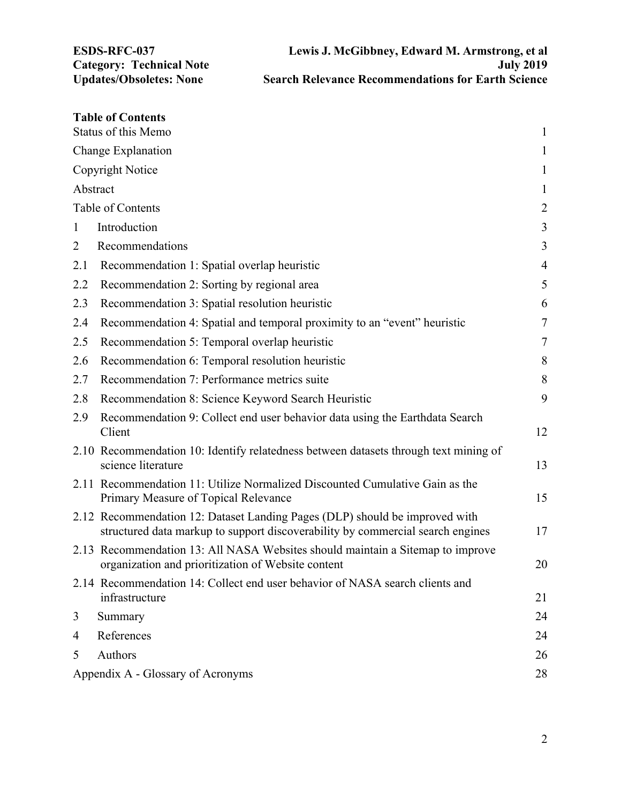|                                         | <b>Table of Contents</b>                                                                                                                                      | $\mathbf{1}$   |  |
|-----------------------------------------|---------------------------------------------------------------------------------------------------------------------------------------------------------------|----------------|--|
| <b>Status of this Memo</b>              |                                                                                                                                                               |                |  |
| Change Explanation                      |                                                                                                                                                               |                |  |
|                                         | Copyright Notice                                                                                                                                              | $\mathbf{1}$   |  |
| Abstract                                |                                                                                                                                                               | $\mathbf{1}$   |  |
| Table of Contents                       |                                                                                                                                                               |                |  |
| 1                                       | Introduction                                                                                                                                                  | 3              |  |
| 2                                       | Recommendations                                                                                                                                               | 3              |  |
| 2.1                                     | Recommendation 1: Spatial overlap heuristic                                                                                                                   | $\overline{4}$ |  |
| 2.2                                     | Recommendation 2: Sorting by regional area                                                                                                                    | 5              |  |
| 2.3                                     | Recommendation 3: Spatial resolution heuristic                                                                                                                | 6              |  |
| 2.4                                     | Recommendation 4: Spatial and temporal proximity to an "event" heuristic                                                                                      | $\tau$         |  |
| 2.5                                     | Recommendation 5: Temporal overlap heuristic                                                                                                                  | 7              |  |
| 2.6                                     | Recommendation 6: Temporal resolution heuristic                                                                                                               | 8              |  |
| 2.7                                     | Recommendation 7: Performance metrics suite                                                                                                                   | $\,8\,$        |  |
| 2.8                                     | Recommendation 8: Science Keyword Search Heuristic                                                                                                            | 9              |  |
| 2.9                                     | Recommendation 9: Collect end user behavior data using the Earthdata Search<br>Client                                                                         | 12             |  |
|                                         | 2.10 Recommendation 10: Identify relatedness between datasets through text mining of<br>science literature                                                    | 13             |  |
|                                         | 2.11 Recommendation 11: Utilize Normalized Discounted Cumulative Gain as the<br>Primary Measure of Topical Relevance                                          | 15             |  |
|                                         | 2.12 Recommendation 12: Dataset Landing Pages (DLP) should be improved with<br>structured data markup to support discoverability by commercial search engines | 17             |  |
|                                         | 2.13 Recommendation 13: All NASA Websites should maintain a Sitemap to improve<br>organization and prioritization of Website content                          | 20             |  |
|                                         | 2.14 Recommendation 14: Collect end user behavior of NASA search clients and<br>infrastructure                                                                | 21             |  |
| 3                                       | Summary                                                                                                                                                       | 24             |  |
| 4                                       | References                                                                                                                                                    | 24             |  |
| 5                                       | Authors                                                                                                                                                       | 26             |  |
| Appendix A - Glossary of Acronyms<br>28 |                                                                                                                                                               |                |  |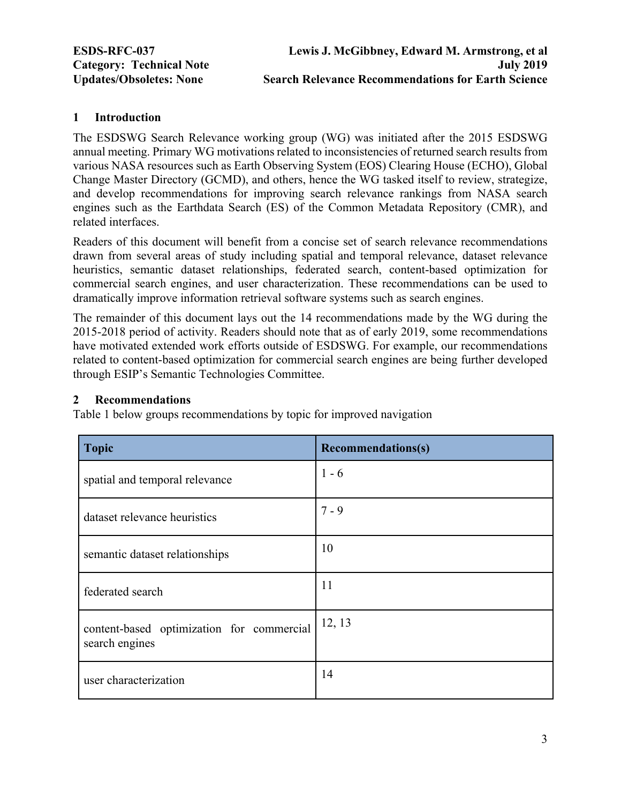# <span id="page-2-0"></span>**1 Introduction**

The ESDSWG Search Relevance working group (WG) was initiated after the 2015 ESDSWG annual meeting. Primary WG motivations related to inconsistencies of returned search results from various NASA resources such as Earth Observing System (EOS) Clearing House (ECHO), Global Change Master Directory (GCMD), and others, hence the WG tasked itself to review, strategize, and develop recommendations for improving search relevance rankings from NASA search engines such as the Earthdata Search (ES) of the Common Metadata Repository (CMR), and related interfaces.

Readers of this document will benefit from a concise set of search relevance recommendations drawn from several areas of study including spatial and temporal relevance, dataset relevance heuristics, semantic dataset relationships, federated search, content-based optimization for commercial search engines, and user characterization. These recommendations can be used to dramatically improve information retrieval software systems such as search engines.

The remainder of this document lays out the 14 recommendations made by the WG during the 2015-2018 period of activity. Readers should note that as of early 2019, some recommendations have motivated extended work efforts outside of ESDSWG. For example, our recommendations related to content-based optimization for commercial search engines are being further developed through ESIP's Semantic Technologies Committee.

### **2 Recommendations**

Table 1 below groups recommendations by topic for improved navigation

| <b>Topic</b>                                                | <b>Recommendations(s)</b> |
|-------------------------------------------------------------|---------------------------|
| spatial and temporal relevance                              | $1 - 6$                   |
| dataset relevance heuristics                                | $7 - 9$                   |
| semantic dataset relationships                              | 10                        |
| federated search                                            | 11                        |
| content-based optimization for commercial<br>search engines | 12, 13                    |
| user characterization                                       | 14                        |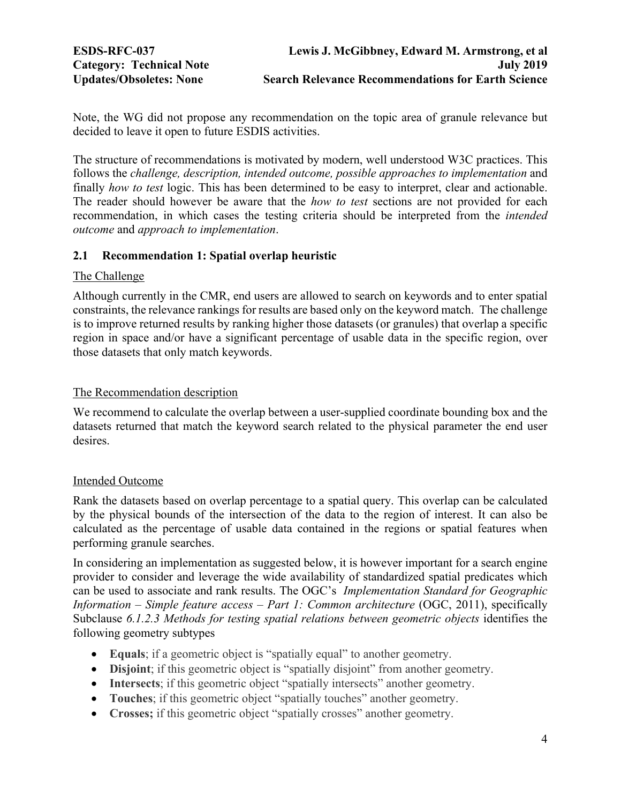<span id="page-3-0"></span>Note, the WG did not propose any recommendation on the topic area of granule relevance but decided to leave it open to future ESDIS activities.

The structure of recommendations is motivated by modern, well understood W3C practices. This follows the *challenge, description, intended outcome, possible approaches to implementation* and finally *how to test* logic. This has been determined to be easy to interpret, clear and actionable. The reader should however be aware that the *how to test* sections are not provided for each recommendation, in which cases the testing criteria should be interpreted from the *intended outcome* and *approach to implementation*.

# **2.1 Recommendation 1: Spatial overlap heuristic**

# The Challenge

Although currently in the CMR, end users are allowed to search on keywords and to enter spatial constraints, the relevance rankings for results are based only on the keyword match. The challenge is to improve returned results by ranking higher those datasets (or granules) that overlap a specific region in space and/or have a significant percentage of usable data in the specific region, over those datasets that only match keywords.

## The Recommendation description

We recommend to calculate the overlap between a user-supplied coordinate bounding box and the datasets returned that match the keyword search related to the physical parameter the end user desires.

# Intended Outcome

Rank the datasets based on overlap percentage to a spatial query. This overlap can be calculated by the physical bounds of the intersection of the data to the region of interest. It can also be calculated as the percentage of usable data contained in the regions or spatial features when performing granule searches.

In considering an implementation as suggested below, it is however important for a search engine provider to consider and leverage the wide availability of standardized spatial predicates which can be used to associate and rank results. The OGC's *Implementation Standard for Geographic Information – Simple feature access – Part 1: Common architecture* (OGC, 2011), specifically Subclause *6.1.2.3 Methods for testing spatial relations between geometric objects* identifies the following geometry subtypes

- **Equals**; if a geometric object is "spatially equal" to another geometry.
- **Disjoint**; if this geometric object is "spatially disjoint" from another geometry.
- **Intersects**; if this geometric object "spatially intersects" another geometry.
- **Touches**; if this geometric object "spatially touches" another geometry.
- **Crosses;** if this geometric object "spatially crosses" another geometry.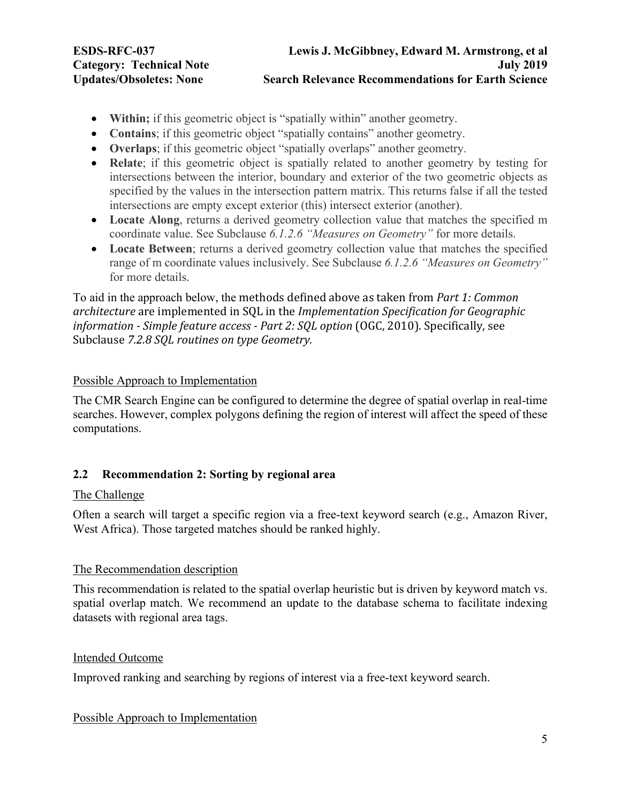<span id="page-4-0"></span>

- **Within;** if this geometric object is "spatially within" another geometry.
- **Contains**; if this geometric object "spatially contains" another geometry.
- **Overlaps**; if this geometric object "spatially overlaps" another geometry.
- **Relate**; if this geometric object is spatially related to another geometry by testing for intersections between the interior, boundary and exterior of the two geometric objects as specified by the values in the intersection pattern matrix. This returns false if all the tested intersections are empty except exterior (this) intersect exterior (another).
- **Locate Along**, returns a derived geometry collection value that matches the specified m coordinate value. See Subclause *6.1.2.6 "Measures on Geometry"* for more details.
- **Locate Between**; returns a derived geometry collection value that matches the specified range of m coordinate values inclusively. See Subclause *6.1.2.6 "Measures on Geometry"* for more details.

To aid in the approach below, the methods defined above as taken from *Part 1: Common architecture* are implemented in SQL in the *Implementation Specification for Geographic information* - *Simple feature access* - *Part 2: SOL option* (OGC, 2010). Specifically, see Subclause *7.2.8 SQL routines on type Geometry.* 

# Possible Approach to Implementation

The CMR Search Engine can be configured to determine the degree of spatial overlap in real-time searches. However, complex polygons defining the region of interest will affect the speed of these computations.

# **2.2 Recommendation 2: Sorting by regional area**

# The Challenge

Often a search will target a specific region via a free-text keyword search (e.g., Amazon River, West Africa). Those targeted matches should be ranked highly.

# The Recommendation description

This recommendation is related to the spatial overlap heuristic but is driven by keyword match vs. spatial overlap match. We recommend an update to the database schema to facilitate indexing datasets with regional area tags.

# Intended Outcome

Improved ranking and searching by regions of interest via a free-text keyword search.

# Possible Approach to Implementation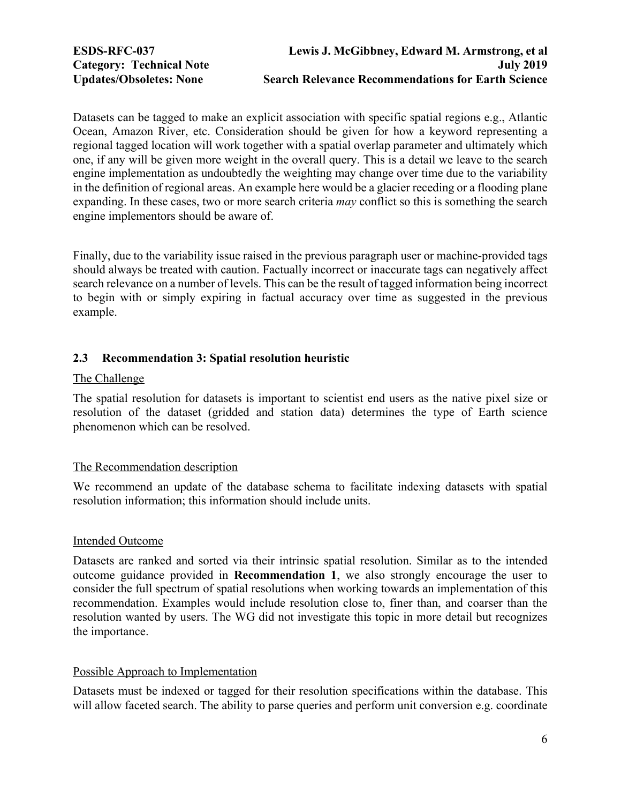<span id="page-5-0"></span>Datasets can be tagged to make an explicit association with specific spatial regions e.g., Atlantic Ocean, Amazon River, etc. Consideration should be given for how a keyword representing a regional tagged location will work together with a spatial overlap parameter and ultimately which one, if any will be given more weight in the overall query. This is a detail we leave to the search engine implementation as undoubtedly the weighting may change over time due to the variability in the definition of regional areas. An example here would be a glacier receding or a flooding plane expanding. In these cases, two or more search criteria *may* conflict so this is something the search engine implementors should be aware of.

Finally, due to the variability issue raised in the previous paragraph user or machine-provided tags should always be treated with caution. Factually incorrect or inaccurate tags can negatively affect search relevance on a number of levels. This can be the result of tagged information being incorrect to begin with or simply expiring in factual accuracy over time as suggested in the previous example.

# **2.3 Recommendation 3: Spatial resolution heuristic**

# The Challenge

The spatial resolution for datasets is important to scientist end users as the native pixel size or resolution of the dataset (gridded and station data) determines the type of Earth science phenomenon which can be resolved.

# The Recommendation description

We recommend an update of the database schema to facilitate indexing datasets with spatial resolution information; this information should include units.

# Intended Outcome

Datasets are ranked and sorted via their intrinsic spatial resolution. Similar as to the intended outcome guidance provided in **Recommendation 1**, we also strongly encourage the user to consider the full spectrum of spatial resolutions when working towards an implementation of this recommendation. Examples would include resolution close to, finer than, and coarser than the resolution wanted by users. The WG did not investigate this topic in more detail but recognizes the importance.

# Possible Approach to Implementation

Datasets must be indexed or tagged for their resolution specifications within the database. This will allow faceted search. The ability to parse queries and perform unit conversion e.g. coordinate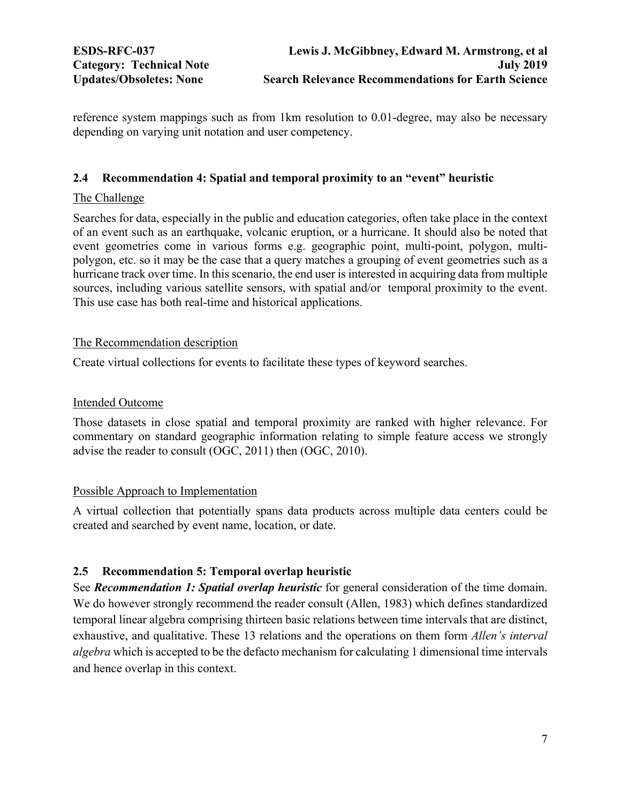<span id="page-6-0"></span>reference system mappings such as from 1km resolution to 0.01-degree, may also be necessary depending on varying unit notation and user competency.

# **2.4 Recommendation 4: Spatial and temporal proximity to an "event" heuristic**

# The Challenge

Searches for data, especially in the public and education categories, often take place in the context of an event such as an earthquake, volcanic eruption, or a hurricane. It should also be noted that event geometries come in various forms e.g. geographic point, multi-point, polygon, multipolygon, etc. so it may be the case that a query matches a grouping of event geometries such as a hurricane track over time. In this scenario, the end user is interested in acquiring data from multiple sources, including various satellite sensors, with spatial and/or temporal proximity to the event. This use case has both real-time and historical applications.

# The Recommendation description

Create virtual collections for events to facilitate these types of keyword searches.

# Intended Outcome

Those datasets in close spatial and temporal proximity are ranked with higher relevance. For commentary on standard geographic information relating to simple feature access we strongly advise the reader to consult (OGC, 2011) then (OGC, 2010).

# Possible Approach to Implementation

A virtual collection that potentially spans data products across multiple data centers could be created and searched by event name, location, or date.

# **2.5 Recommendation 5: Temporal overlap heuristic**

See *Recommendation 1: Spatial overlap heuristic* for general consideration of the time domain. We do however strongly recommend the reader consult (Allen, 1983) which defines standardized temporal linear algebra comprising thirteen basic relations between time intervals that are distinct, exhaustive, and qualitative. These 13 relations and the operations on them form *Allen's interval algebra* which is accepted to be the defacto mechanism for calculating 1 dimensional time intervals and hence overlap in this context.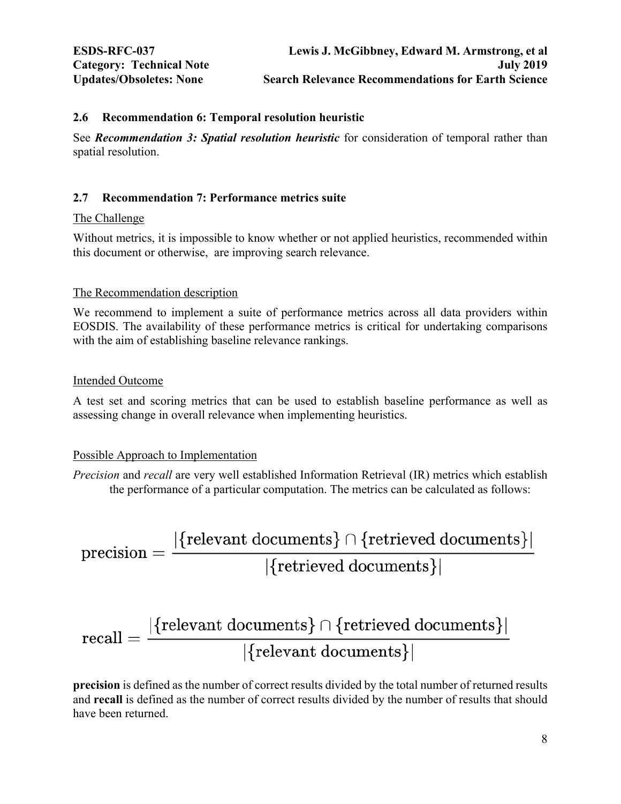### <span id="page-7-0"></span>**2.6 Recommendation 6: Temporal resolution heuristic**

See *Recommendation 3: Spatial resolution heuristic* for consideration of temporal rather than spatial resolution.

# **2.7 Recommendation 7: Performance metrics suite**

### The Challenge

Without metrics, it is impossible to know whether or not applied heuristics, recommended within this document or otherwise, are improving search relevance.

### The Recommendation description

We recommend to implement a suite of performance metrics across all data providers within EOSDIS. The availability of these performance metrics is critical for undertaking comparisons with the aim of establishing baseline relevance rankings.

### Intended Outcome

A test set and scoring metrics that can be used to establish baseline performance as well as assessing change in overall relevance when implementing heuristics.

### Possible Approach to Implementation

*Precision* and *recall* are very well established Information Retrieval (IR) metrics which establish the performance of a particular computation. The metrics can be calculated as follows:

$$
\text{precision} = \frac{|\{\text{relevant documents}\} \cap \{\text{retrieved documents}\}|}{|\{\text{retrieved documents}\}|}
$$

$$
\text{recall} = \frac{|\{\text{relevant documents}\} \cap \{\text{retrieved documents}\}|}{|\{\text{relevant documents}\}|}
$$

**precision** is defined as the number of correct results divided by the total number of returned results and **recall** is defined as the number of correct results divided by the number of results that should have been returned.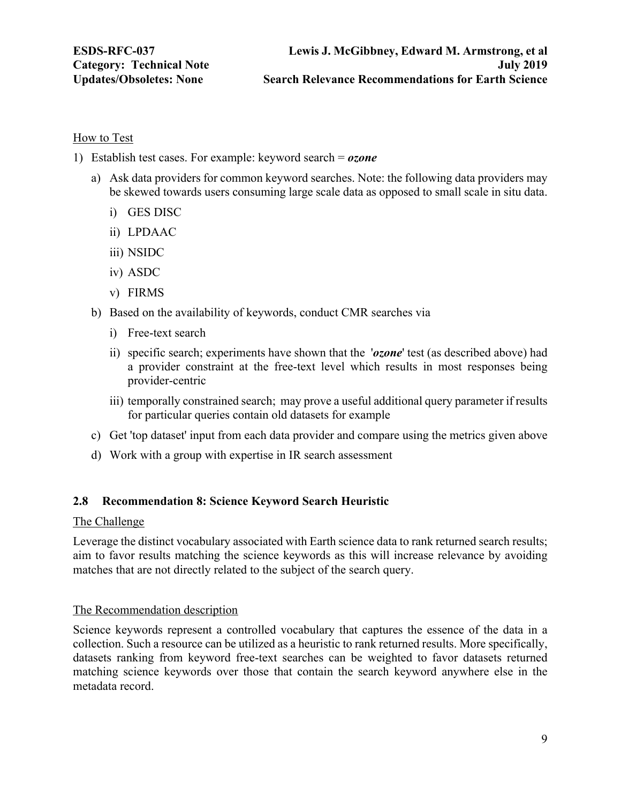### <span id="page-8-0"></span>How to Test

- 1) Establish test cases. For example: keyword search = *ozone*
	- a) Ask data providers for common keyword searches. Note: the following data providers may be skewed towards users consuming large scale data as opposed to small scale in situ data.
		- i) GES DISC
		- ii) LPDAAC
		- iii) NSIDC
		- iv) ASDC
		- v) FIRMS
	- b) Based on the availability of keywords, conduct CMR searches via
		- i) Free-text search
		- ii) specific search; experiments have shown that the '*ozone*' test (as described above) had a provider constraint at the free-text level which results in most responses being provider-centric
		- iii) temporally constrained search; may prove a useful additional query parameter if results for particular queries contain old datasets for example
	- c) Get 'top dataset' input from each data provider and compare using the metrics given above
	- d) Work with a group with expertise in IR search assessment

### **2.8 Recommendation 8: Science Keyword Search Heuristic**

#### The Challenge

Leverage the distinct vocabulary associated with Earth science data to rank returned search results; aim to favor results matching the science keywords as this will increase relevance by avoiding matches that are not directly related to the subject of the search query.

### The Recommendation description

Science keywords represent a controlled vocabulary that captures the essence of the data in a collection. Such a resource can be utilized as a heuristic to rank returned results. More specifically, datasets ranking from keyword free-text searches can be weighted to favor datasets returned matching science keywords over those that contain the search keyword anywhere else in the metadata record.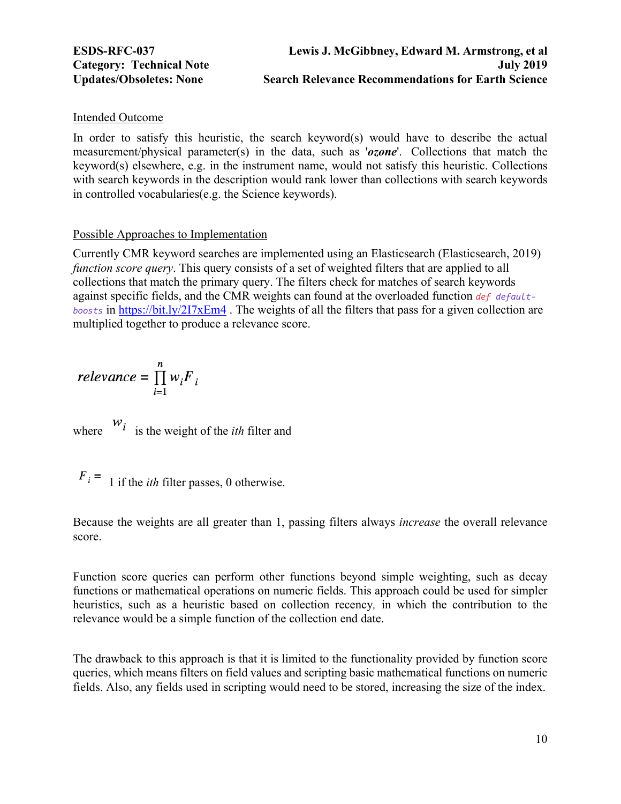#### Intended Outcome

In order to satisfy this heuristic, the search keyword(s) would have to describe the actual measurement/physical parameter(s) in the data, such as '*ozone*'. Collections that match the keyword(s) elsewhere, e.g. in the instrument name, would not satisfy this heuristic. Collections with search keywords in the description would rank lower than collections with search keywords in controlled vocabularies(e.g. the Science keywords).

#### Possible Approaches to Implementation

Currently CMR keyword searches are implemented using an Elasticsearch (Elasticsearch, 2019) *function score query*. This query consists of a set of weighted filters that are applied to all collections that match the primary query. The filters check for matches of search keywords against specific fields, and the CMR weights can found at the overloaded function *def defaultboosts* in https://bit.ly/2I7xEm4 . The weights of all the filters that pass for a given collection are multiplied together to produce a relevance score.

$$
relevance = \prod_{i=1}^{n} w_i F_i
$$

where  $\begin{vmatrix} w_i \\ w_j \end{vmatrix}$  is the weight of the *ith* filter and

 $F_i = 1$  if the *ith* filter passes, 0 otherwise.

Because the weights are all greater than 1, passing filters always *increase* the overall relevance score.

Function score queries can perform other functions beyond simple weighting, such as decay functions or mathematical operations on numeric fields. This approach could be used for simpler heuristics, such as a heuristic based on collection recency*,* in which the contribution to the relevance would be a simple function of the collection end date.

The drawback to this approach is that it is limited to the functionality provided by function score queries, which means filters on field values and scripting basic mathematical functions on numeric fields. Also, any fields used in scripting would need to be stored, increasing the size of the index.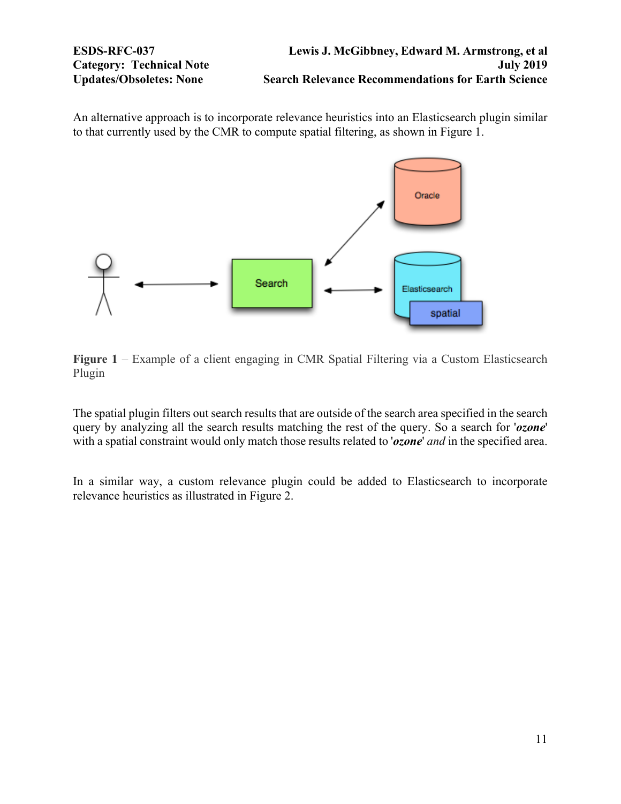An alternative approach is to incorporate relevance heuristics into an Elasticsearch plugin similar to that currently used by the CMR to compute spatial filtering, as shown in Figure 1.



**Figure 1** – Example of a client engaging in CMR Spatial Filtering via a Custom Elasticsearch Plugin

The spatial plugin filters out search results that are outside of the search area specified in the search query by analyzing all the search results matching the rest of the query. So a search for '*ozone*' with a spatial constraint would only match those results related to '*ozone*' *and* in the specified area.

In a similar way, a custom relevance plugin could be added to Elasticsearch to incorporate relevance heuristics as illustrated in Figure 2.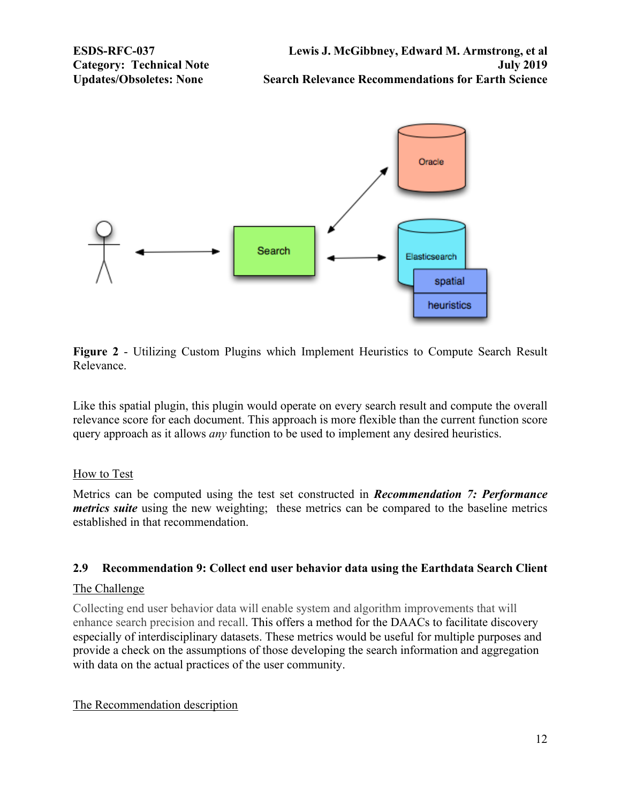<span id="page-11-0"></span>

**Figure 2** - Utilizing Custom Plugins which Implement Heuristics to Compute Search Result Relevance.

Like this spatial plugin, this plugin would operate on every search result and compute the overall relevance score for each document. This approach is more flexible than the current function score query approach as it allows *any* function to be used to implement any desired heuristics.

### How to Test

Metrics can be computed using the test set constructed in *Recommendation 7: Performance metrics suite* using the new weighting; these metrics can be compared to the baseline metrics established in that recommendation.

# **2.9 Recommendation 9: Collect end user behavior data using the Earthdata Search Client**

### The Challenge

Collecting end user behavior data will enable system and algorithm improvements that will enhance search precision and recall. This offers a method for the DAACs to facilitate discovery especially of interdisciplinary datasets. These metrics would be useful for multiple purposes and provide a check on the assumptions of those developing the search information and aggregation with data on the actual practices of the user community.

### The Recommendation description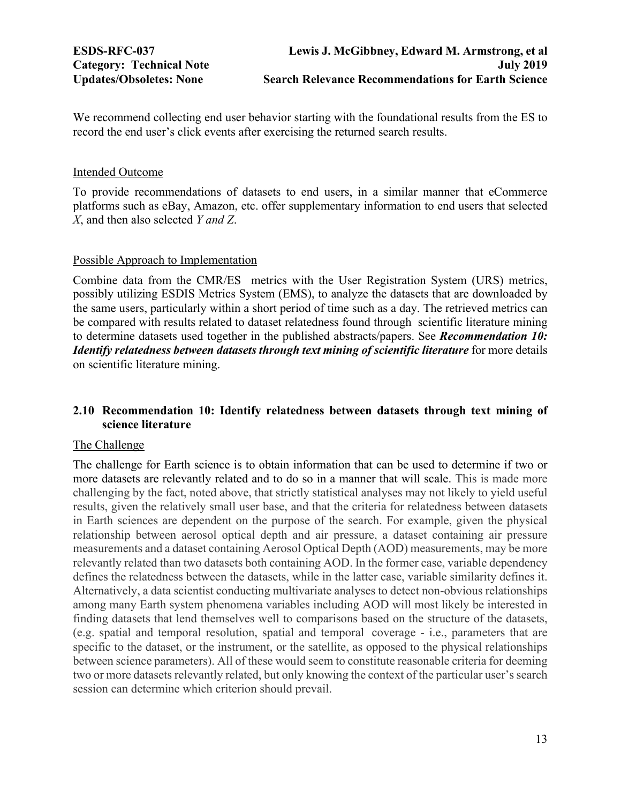<span id="page-12-0"></span>We recommend collecting end user behavior starting with the foundational results from the ES to record the end user's click events after exercising the returned search results.

### Intended Outcome

To provide recommendations of datasets to end users, in a similar manner that eCommerce platforms such as eBay, Amazon, etc. offer supplementary information to end users that selected *X*, and then also selected *Y and Z*.

#### Possible Approach to Implementation

Combine data from the CMR/ES metrics with the User Registration System (URS) metrics, possibly utilizing ESDIS Metrics System (EMS), to analyze the datasets that are downloaded by the same users, particularly within a short period of time such as a day. The retrieved metrics can be compared with results related to dataset relatedness found through scientific literature mining to determine datasets used together in the published abstracts/papers. See *Recommendation 10: Identify relatedness between datasets through text mining of scientific literature* for more details on scientific literature mining.

# **2.10 Recommendation 10: Identify relatedness between datasets through text mining of science literature**

#### The Challenge

The challenge for Earth science is to obtain information that can be used to determine if two or more datasets are relevantly related and to do so in a manner that will scale. This is made more challenging by the fact, noted above, that strictly statistical analyses may not likely to yield useful results, given the relatively small user base, and that the criteria for relatedness between datasets in Earth sciences are dependent on the purpose of the search. For example, given the physical relationship between aerosol optical depth and air pressure, a dataset containing air pressure measurements and a dataset containing Aerosol Optical Depth (AOD) measurements, may be more relevantly related than two datasets both containing AOD. In the former case, variable dependency defines the relatedness between the datasets, while in the latter case, variable similarity defines it. Alternatively, a data scientist conducting multivariate analyses to detect non-obvious relationships among many Earth system phenomena variables including AOD will most likely be interested in finding datasets that lend themselves well to comparisons based on the structure of the datasets, (e.g. spatial and temporal resolution, spatial and temporal coverage - i.e., parameters that are specific to the dataset, or the instrument, or the satellite, as opposed to the physical relationships between science parameters). All of these would seem to constitute reasonable criteria for deeming two or more datasets relevantly related, but only knowing the context of the particular user's search session can determine which criterion should prevail.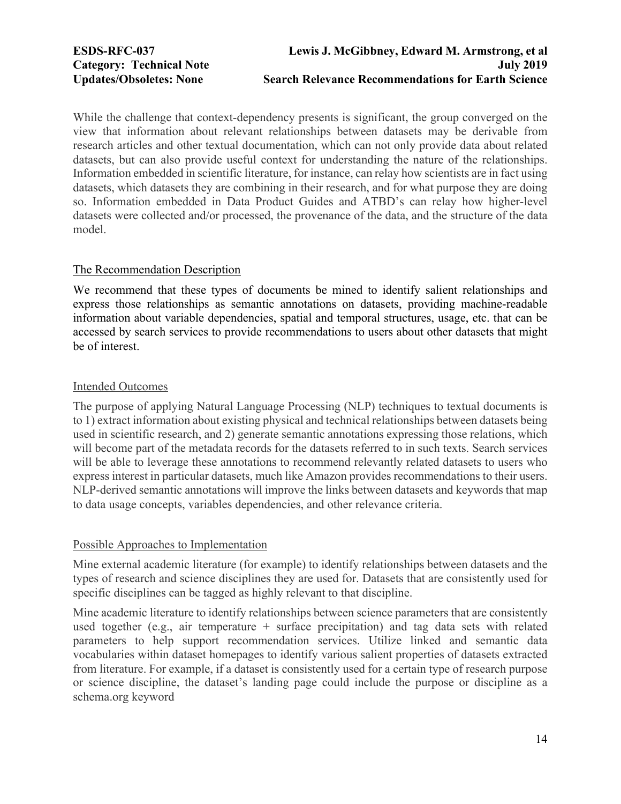While the challenge that context-dependency presents is significant, the group converged on the view that information about relevant relationships between datasets may be derivable from research articles and other textual documentation, which can not only provide data about related datasets, but can also provide useful context for understanding the nature of the relationships. Information embedded in scientific literature, for instance, can relay how scientists are in fact using datasets, which datasets they are combining in their research, and for what purpose they are doing so. Information embedded in Data Product Guides and ATBD's can relay how higher-level datasets were collected and/or processed, the provenance of the data, and the structure of the data model.

# The Recommendation Description

We recommend that these types of documents be mined to identify salient relationships and express those relationships as semantic annotations on datasets, providing machine-readable information about variable dependencies, spatial and temporal structures, usage, etc. that can be accessed by search services to provide recommendations to users about other datasets that might be of interest.

# Intended Outcomes

The purpose of applying Natural Language Processing (NLP) techniques to textual documents is to 1) extract information about existing physical and technical relationships between datasets being used in scientific research, and 2) generate semantic annotations expressing those relations, which will become part of the metadata records for the datasets referred to in such texts. Search services will be able to leverage these annotations to recommend relevantly related datasets to users who express interest in particular datasets, much like Amazon provides recommendations to their users. NLP-derived semantic annotations will improve the links between datasets and keywords that map to data usage concepts, variables dependencies, and other relevance criteria.

# Possible Approaches to Implementation

Mine external academic literature (for example) to identify relationships between datasets and the types of research and science disciplines they are used for. Datasets that are consistently used for specific disciplines can be tagged as highly relevant to that discipline.

Mine academic literature to identify relationships between science parameters that are consistently used together (e.g., air temperature + surface precipitation) and tag data sets with related parameters to help support recommendation services. Utilize linked and semantic data vocabularies within dataset homepages to identify various salient properties of datasets extracted from literature. For example, if a dataset is consistently used for a certain type of research purpose or science discipline, the dataset's landing page could include the purpose or discipline as a schema.org keyword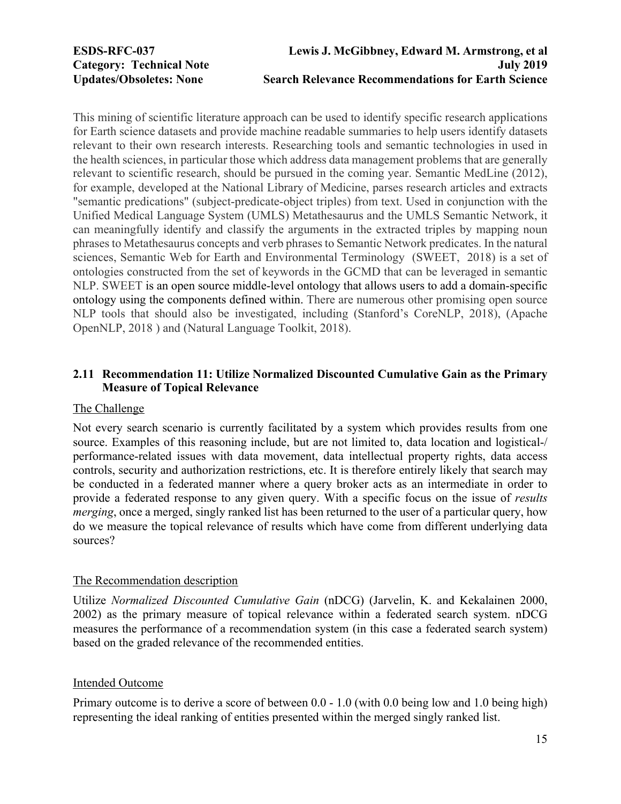<span id="page-14-0"></span>This mining of scientific literature approach can be used to identify specific research applications for Earth science datasets and provide machine readable summaries to help users identify datasets relevant to their own research interests. Researching tools and semantic technologies in used in the health sciences, in particular those which address data management problems that are generally relevant to scientific research, should be pursued in the coming year. Semantic MedLine (2012), for example, developed at the National Library of Medicine, parses research articles and extracts "semantic predications" (subject-predicate-object triples) from text. Used in conjunction with the Unified Medical Language System (UMLS) Metathesaurus and the UMLS Semantic Network, it can meaningfully identify and classify the arguments in the extracted triples by mapping noun phrases to Metathesaurus concepts and verb phrases to Semantic Network predicates. In the natural sciences, Semantic Web for Earth and Environmental Terminology (SWEET, 2018) is a set of ontologies constructed from the set of keywords in the GCMD that can be leveraged in semantic NLP. SWEET is an open source middle-level ontology that allows users to add a domain-specific ontology using the components defined within. There are numerous other promising open source NLP tools that should also be investigated, including (Stanford's CoreNLP, 2018), (Apache OpenNLP, 2018 ) and (Natural Language Toolkit, 2018).

# **2.11 Recommendation 11: Utilize Normalized Discounted Cumulative Gain as the Primary Measure of Topical Relevance**

#### The Challenge

Not every search scenario is currently facilitated by a system which provides results from one source. Examples of this reasoning include, but are not limited to, data location and logistical-/ performance-related issues with data movement, data intellectual property rights, data access controls, security and authorization restrictions, etc. It is therefore entirely likely that search may be conducted in a federated manner where a query broker acts as an intermediate in order to provide a federated response to any given query. With a specific focus on the issue of *results merging*, once a merged, singly ranked list has been returned to the user of a particular query, how do we measure the topical relevance of results which have come from different underlying data sources?

#### The Recommendation description

Utilize *Normalized Discounted Cumulative Gain* (nDCG) (Jarvelin, K. and Kekalainen 2000, 2002) as the primary measure of topical relevance within a federated search system. nDCG measures the performance of a recommendation system (in this case a federated search system) based on the graded relevance of the recommended entities.

#### Intended Outcome

Primary outcome is to derive a score of between 0.0 - 1.0 (with 0.0 being low and 1.0 being high) representing the ideal ranking of entities presented within the merged singly ranked list.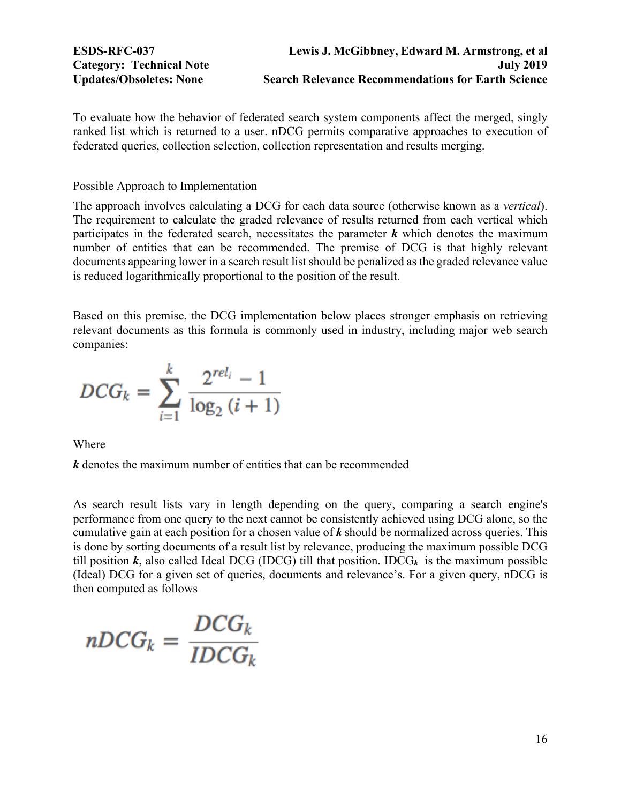To evaluate how the behavior of federated search system components affect the merged, singly ranked list which is returned to a user. nDCG permits comparative approaches to execution of federated queries, collection selection, collection representation and results merging.

### Possible Approach to Implementation

The approach involves calculating a DCG for each data source (otherwise known as a *vertical*). The requirement to calculate the graded relevance of results returned from each vertical which participates in the federated search, necessitates the parameter  $k$  which denotes the maximum number of entities that can be recommended. The premise of DCG is that highly relevant documents appearing lower in a search result list should be penalized as the graded relevance value is reduced logarithmically proportional to the position of the result.

Based on this premise, the DCG implementation below places stronger emphasis on retrieving relevant documents as this formula is commonly used in industry, including major web search companies:

$$
DCG_k = \sum_{i=1}^{k} \frac{2^{rel_i} - 1}{\log_2(i+1)}
$$

Where

*k* denotes the maximum number of entities that can be recommended

As search result lists vary in length depending on the query, comparing a search engine's performance from one query to the next cannot be consistently achieved using DCG alone, so the cumulative gain at each position for a chosen value of *k* should be normalized across queries. This is done by sorting documents of a result list by relevance, producing the maximum possible DCG till position  $k$ , also called Ideal DCG (IDCG) till that position. IDCG<sub>k</sub> is the maximum possible (Ideal) DCG for a given set of queries, documents and relevance's. For a given query, nDCG is then computed as follows

$$
nDCG_k = \frac{DCG_k}{IDCG_k}
$$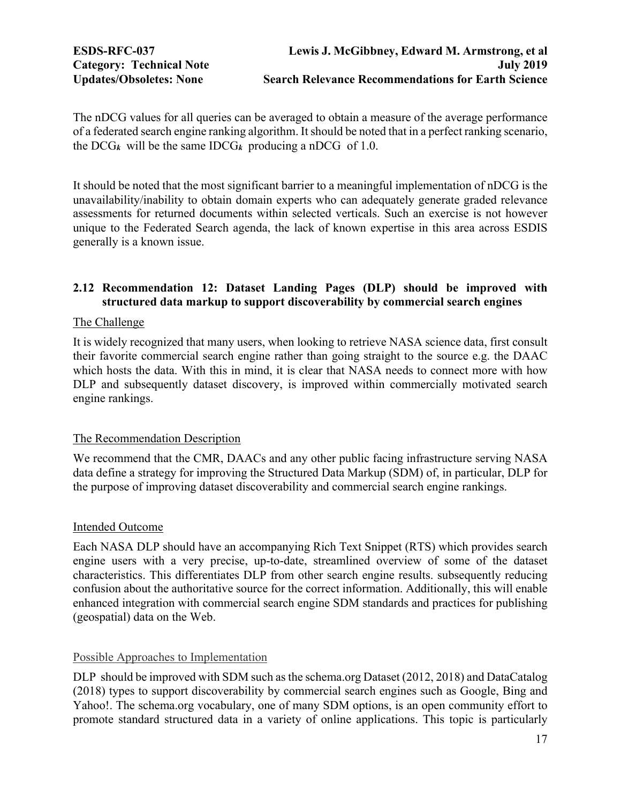<span id="page-16-0"></span>The nDCG values for all queries can be averaged to obtain a measure of the average performance of a federated search engine ranking algorithm. It should be noted that in a perfect ranking scenario, the  $DCG_k$  will be the same  $IDCG_k$  producing a nDCG of 1.0.

It should be noted that the most significant barrier to a meaningful implementation of nDCG is the unavailability/inability to obtain domain experts who can adequately generate graded relevance assessments for returned documents within selected verticals. Such an exercise is not however unique to the Federated Search agenda, the lack of known expertise in this area across ESDIS generally is a known issue.

# **2.12 Recommendation 12: Dataset Landing Pages (DLP) should be improved with structured data markup to support discoverability by commercial search engines**

## The Challenge

It is widely recognized that many users, when looking to retrieve NASA science data, first consult their favorite commercial search engine rather than going straight to the source e.g. the DAAC which hosts the data. With this in mind, it is clear that NASA needs to connect more with how DLP and subsequently dataset discovery, is improved within commercially motivated search engine rankings.

# The Recommendation Description

We recommend that the CMR, DAACs and any other public facing infrastructure serving NASA data define a strategy for improving the Structured Data Markup (SDM) of, in particular, DLP for the purpose of improving dataset discoverability and commercial search engine rankings.

### Intended Outcome

Each NASA DLP should have an accompanying Rich Text Snippet (RTS) which provides search engine users with a very precise, up-to-date, streamlined overview of some of the dataset characteristics. This differentiates DLP from other search engine results. subsequently reducing confusion about the authoritative source for the correct information. Additionally, this will enable enhanced integration with commercial search engine SDM standards and practices for publishing (geospatial) data on the Web.

# Possible Approaches to Implementation

DLP should be improved with SDM such as the schema.org Dataset (2012, 2018) and DataCatalog (2018) types to support discoverability by commercial search engines such as Google, Bing and Yahoo!. The schema.org vocabulary, one of many SDM options, is an open community effort to promote standard structured data in a variety of online applications. This topic is particularly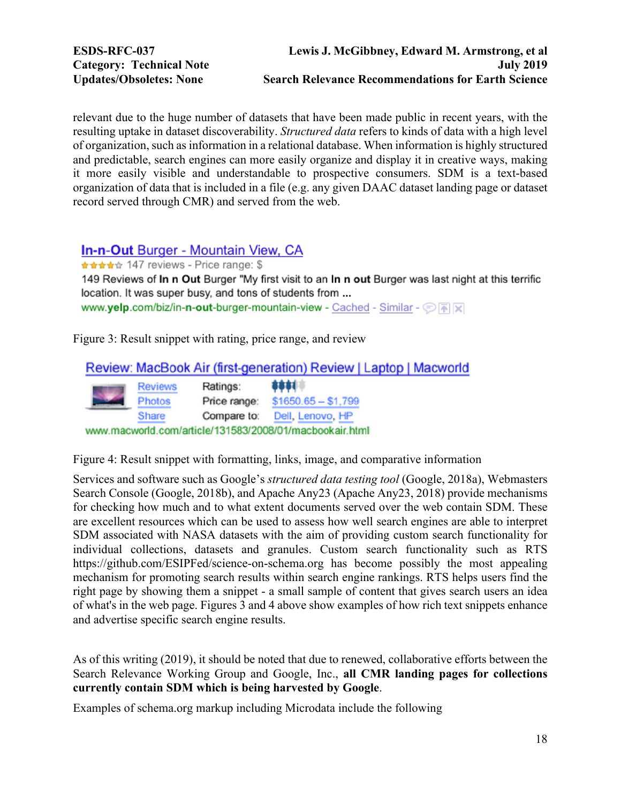relevant due to the huge number of datasets that have been made public in recent years, with the resulting uptake in dataset discoverability. *Structured data* refers to kinds of data with a high level of organization, such as information in a relational database. When information is highly structured and predictable, search engines can more easily organize and display it in creative ways, making it more easily visible and understandable to prospective consumers. SDM is a text-based organization of data that is included in a file (e.g. any given DAAC dataset landing page or dataset record served through CMR) and served from the web.

# **In-n-Out Burger - Mountain View, CA**

\*\*\*\*\* 147 reviews - Price range: \$

149 Reviews of In n Out Burger "My first visit to an In n out Burger was last night at this terrific location. It was super busy, and tons of students from ... www.yelp.com/biz/in-n-out-burger-mountain-view - Cached - Similar -  $\circledcirc$  **A**  $\boxtimes$ 

Figure 3: Result snippet with rating, price range, and review

| Review: MacBook Air (first-generation) Review   Laptop   Macworld |                |              |                     |  |  |  |
|-------------------------------------------------------------------|----------------|--------------|---------------------|--|--|--|
|                                                                   | <b>Reviews</b> | Ratings:     | 1881                |  |  |  |
|                                                                   | Photos         | Price range: | $$1650.65 - $1,799$ |  |  |  |
|                                                                   | Share          | Compare to:  | Dell, Lenovo, HP    |  |  |  |
| www.macworld.com/article/131583/2008/01/macbookair.html           |                |              |                     |  |  |  |

Figure 4: Result snippet with formatting, links, image, and comparative information

Services and software such as Google's *structured data testing tool* (Google, 2018a), Webmasters Search Console (Google, 2018b), and Apache Any23 (Apache Any23, 2018) provide mechanisms for checking how much and to what extent documents served over the web contain SDM. These are excellent resources which can be used to assess how well search engines are able to interpret SDM associated with NASA datasets with the aim of providing custom search functionality for individual collections, datasets and granules. Custom search functionality such as RTS https://github.com/ESIPFed/science-on-schema.org has become possibly the most appealing mechanism for promoting search results within search engine rankings. RTS helps users find the right page by showing them a snippet - a small sample of content that gives search users an idea of what's in the web page. Figures 3 and 4 above show examples of how rich text snippets enhance and advertise specific search engine results.

As of this writing (2019), it should be noted that due to renewed, collaborative efforts between the Search Relevance Working Group and Google, Inc., **all CMR landing pages for collections currently contain SDM which is being harvested by Google**.

Examples of schema.org markup including Microdata include the following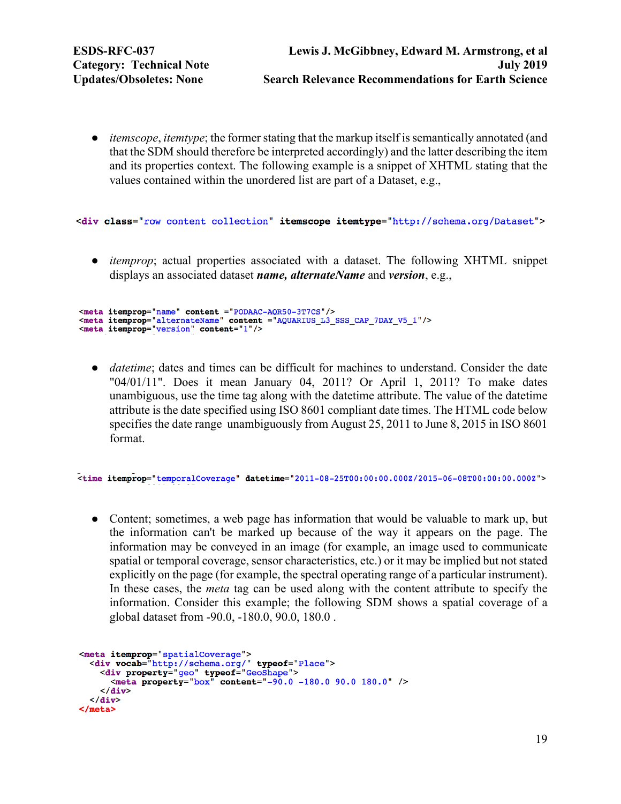● *itemscope*, *itemtype*; the former stating that the markup itself is semantically annotated (and that the SDM should therefore be interpreted accordingly) and the latter describing the item and its properties context. The following example is a snippet of XHTML stating that the values contained within the unordered list are part of a Dataset, e.g.,

<div class="row content collection" itemscope itemtype="http://schema.org/Dataset">

• *itemprop*; actual properties associated with a dataset. The following XHTML snippet displays an associated dataset *name, alternateName* and *version*, e.g.,

```
<meta itemprop="name" content ="PODAAC-AQR50-3T7CS"/><br><meta itemprop="alternateName" content ="AQUARIUS_L3_SSS_CAP_7DAY_V5_1"/>
<meta itemprop="version" content="1"/>
```
• *datetime*; dates and times can be difficult for machines to understand. Consider the date "04/01/11". Does it mean January 04, 2011? Or April 1, 2011? To make dates unambiguous, use the time tag along with the datetime attribute. The value of the datetime attribute is the date specified using ISO 8601 compliant date times. The HTML code below specifies the date range unambiguously from August 25, 2011 to June 8, 2015 in ISO 8601 format.

<time itemprop="temporalCoverage" datetime="2011-08-25T00:00:00.000Z/2015-06-08T00:00:00.000Z">

• Content; sometimes, a web page has information that would be valuable to mark up, but the information can't be marked up because of the way it appears on the page. The information may be conveyed in an image (for example, an image used to communicate spatial or temporal coverage, sensor characteristics, etc.) or it may be implied but not stated explicitly on the page (for example, the spectral operating range of a particular instrument). In these cases, the *meta* tag can be used along with the content attribute to specify the information. Consider this example; the following SDM shows a spatial coverage of a global dataset from -90.0, -180.0, 90.0, 180.0 .

```
<meta itemprop="spatialCoverage">
  <div vocab="http://schema.org/" typeof="Place">
    <div property="geo" typeof="GeoShape">
      <meta property="box" content="-90.0 -180.0 90.0 180.0" />
    \langle div>
  \langle div>
</meta>
```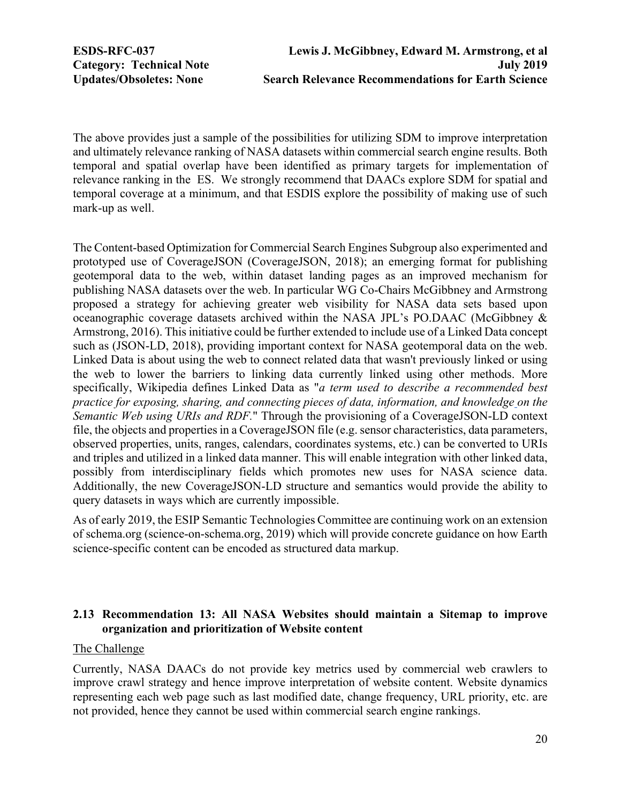<span id="page-19-0"></span>

The above provides just a sample of the possibilities for utilizing SDM to improve interpretation and ultimately relevance ranking of NASA datasets within commercial search engine results. Both temporal and spatial overlap have been identified as primary targets for implementation of relevance ranking in the ES. We strongly recommend that DAACs explore SDM for spatial and temporal coverage at a minimum, and that ESDIS explore the possibility of making use of such mark-up as well.

The Content-based Optimization for Commercial Search Engines Subgroup also experimented and prototyped use of CoverageJSON (CoverageJSON, 2018); an emerging format for publishing geotemporal data to the web, within dataset landing pages as an improved mechanism for publishing NASA datasets over the web. In particular WG Co-Chairs McGibbney and Armstrong proposed a strategy for achieving greater web visibility for NASA data sets based upon oceanographic coverage datasets archived within the NASA JPL's PO.DAAC (McGibbney & Armstrong, 2016). This initiative could be further extended to include use of a Linked Data concept such as (JSON-LD, 2018), providing important context for NASA geotemporal data on the web. Linked Data is about using the web to connect related data that wasn't previously linked or using the web to lower the barriers to linking data currently linked using other methods. More specifically, Wikipedia defines Linked Data as "*a term used to describe a recommended best practice for exposing, sharing, and connecting pieces of data, information, and knowledge on the Semantic Web using URIs and RDF.*" Through the provisioning of a CoverageJSON-LD context file, the objects and properties in a CoverageJSON file (e.g. sensor characteristics, data parameters, observed properties, units, ranges, calendars, coordinates systems, etc.) can be converted to URIs and triples and utilized in a linked data manner. This will enable integration with other linked data, possibly from interdisciplinary fields which promotes new uses for NASA science data. Additionally, the new CoverageJSON-LD structure and semantics would provide the ability to query datasets in ways which are currently impossible.

As of early 2019, the ESIP Semantic Technologies Committee are continuing work on an extension of schema.org (science-on-schema.org, 2019) which will provide concrete guidance on how Earth science-specific content can be encoded as structured data markup.

# **2.13 Recommendation 13: All NASA Websites should maintain a Sitemap to improve organization and prioritization of Website content**

## The Challenge

Currently, NASA DAACs do not provide key metrics used by commercial web crawlers to improve crawl strategy and hence improve interpretation of website content. Website dynamics representing each web page such as last modified date, change frequency, URL priority, etc. are not provided, hence they cannot be used within commercial search engine rankings.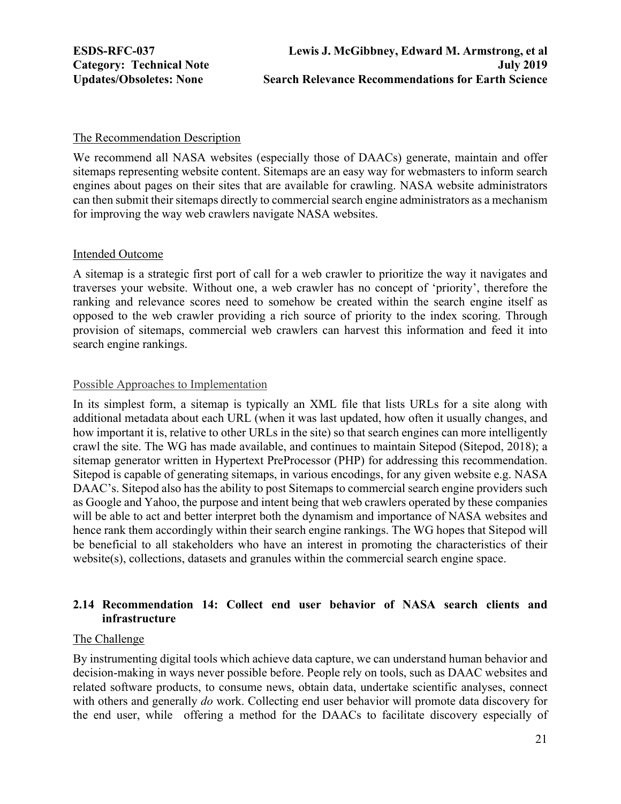<span id="page-20-0"></span>

#### The Recommendation Description

We recommend all NASA websites (especially those of DAACs) generate, maintain and offer sitemaps representing website content. Sitemaps are an easy way for webmasters to inform search engines about pages on their sites that are available for crawling. NASA website administrators can then submit their sitemaps directly to commercial search engine administrators as a mechanism for improving the way web crawlers navigate NASA websites.

#### Intended Outcome

A sitemap is a strategic first port of call for a web crawler to prioritize the way it navigates and traverses your website. Without one, a web crawler has no concept of 'priority', therefore the ranking and relevance scores need to somehow be created within the search engine itself as opposed to the web crawler providing a rich source of priority to the index scoring. Through provision of sitemaps, commercial web crawlers can harvest this information and feed it into search engine rankings.

#### Possible Approaches to Implementation

In its simplest form, a sitemap is typically an XML file that lists URLs for a site along with additional metadata about each URL (when it was last updated, how often it usually changes, and how important it is, relative to other URLs in the site) so that search engines can more intelligently crawl the site. The WG has made available, and continues to maintain Sitepod (Sitepod, 2018); a sitemap generator written in Hypertext PreProcessor (PHP) for addressing this recommendation. Sitepod is capable of generating sitemaps, in various encodings, for any given website e.g. NASA DAAC's. Sitepod also has the ability to post Sitemaps to commercial search engine providers such as Google and Yahoo, the purpose and intent being that web crawlers operated by these companies will be able to act and better interpret both the dynamism and importance of NASA websites and hence rank them accordingly within their search engine rankings. The WG hopes that Sitepod will be beneficial to all stakeholders who have an interest in promoting the characteristics of their website(s), collections, datasets and granules within the commercial search engine space.

# **2.14 Recommendation 14: Collect end user behavior of NASA search clients and infrastructure**

#### The Challenge

By instrumenting digital tools which achieve data capture, we can understand human behavior and decision-making in ways never possible before. People rely on tools, such as DAAC websites and related software products, to consume news, obtain data, undertake scientific analyses, connect with others and generally *do* work. Collecting end user behavior will promote data discovery for the end user, while offering a method for the DAACs to facilitate discovery especially of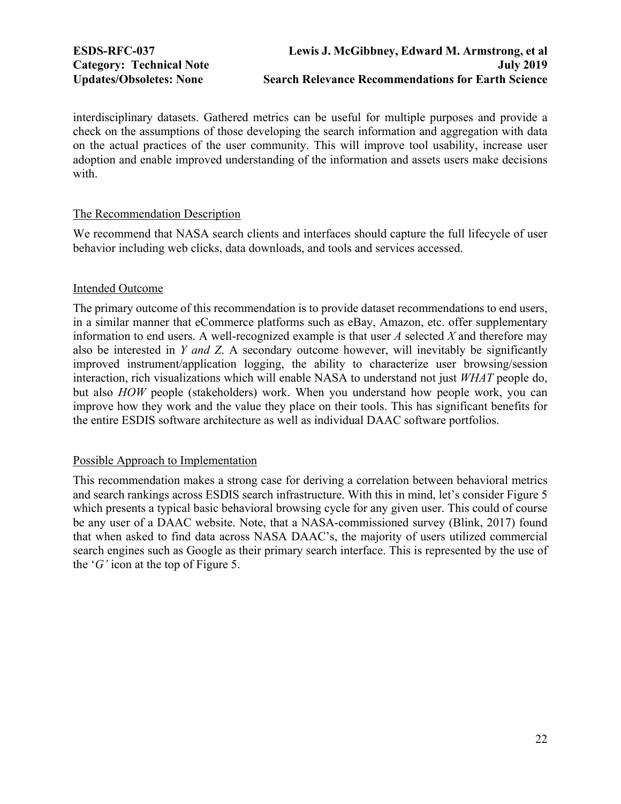interdisciplinary datasets. Gathered metrics can be useful for multiple purposes and provide a check on the assumptions of those developing the search information and aggregation with data on the actual practices of the user community. This will improve tool usability, increase user adoption and enable improved understanding of the information and assets users make decisions with.

## The Recommendation Description

We recommend that NASA search clients and interfaces should capture the full lifecycle of user behavior including web clicks, data downloads, and tools and services accessed.

## Intended Outcome

The primary outcome of this recommendation is to provide dataset recommendations to end users, in a similar manner that eCommerce platforms such as eBay, Amazon, etc. offer supplementary information to end users. A well-recognized example is that user *A* selected *X* and therefore may also be interested in *Y and Z*. A secondary outcome however, will inevitably be significantly improved instrument/application logging, the ability to characterize user browsing/session interaction, rich visualizations which will enable NASA to understand not just *WHAT* people do, but also *HOW* people (stakeholders) work. When you understand how people work, you can improve how they work and the value they place on their tools. This has significant benefits for the entire ESDIS software architecture as well as individual DAAC software portfolios.

### Possible Approach to Implementation

This recommendation makes a strong case for deriving a correlation between behavioral metrics and search rankings across ESDIS search infrastructure. With this in mind, let's consider Figure 5 which presents a typical basic behavioral browsing cycle for any given user. This could of course be any user of a DAAC website. Note, that a NASA-commissioned survey (Blink, 2017) found that when asked to find data across NASA DAAC's, the majority of users utilized commercial search engines such as Google as their primary search interface. This is represented by the use of the '*G'* icon at the top of Figure 5.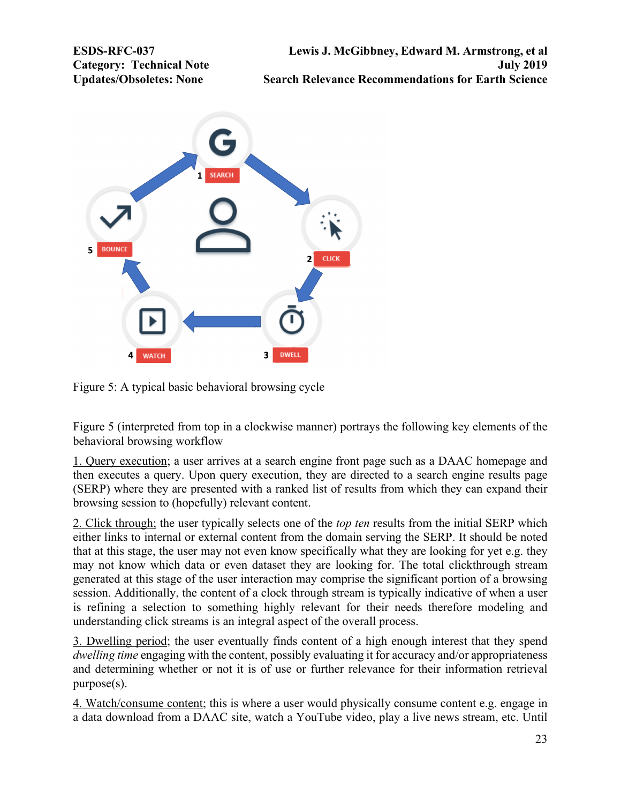

Figure 5: A typical basic behavioral browsing cycle

Figure 5 (interpreted from top in a clockwise manner) portrays the following key elements of the behavioral browsing workflow

1. Query execution; a user arrives at a search engine front page such as a DAAC homepage and then executes a query. Upon query execution, they are directed to a search engine results page (SERP) where they are presented with a ranked list of results from which they can expand their browsing session to (hopefully) relevant content.

2. Click through; the user typically selects one of the *top ten* results from the initial SERP which either links to internal or external content from the domain serving the SERP. It should be noted that at this stage, the user may not even know specifically what they are looking for yet e.g. they may not know which data or even dataset they are looking for. The total clickthrough stream generated at this stage of the user interaction may comprise the significant portion of a browsing session. Additionally, the content of a clock through stream is typically indicative of when a user is refining a selection to something highly relevant for their needs therefore modeling and understanding click streams is an integral aspect of the overall process.

3. Dwelling period; the user eventually finds content of a high enough interest that they spend *dwelling time* engaging with the content, possibly evaluating it for accuracy and/or appropriateness and determining whether or not it is of use or further relevance for their information retrieval purpose(s).

4. Watch/consume content; this is where a user would physically consume content e.g. engage in a data download from a DAAC site, watch a YouTube video, play a live news stream, etc. Until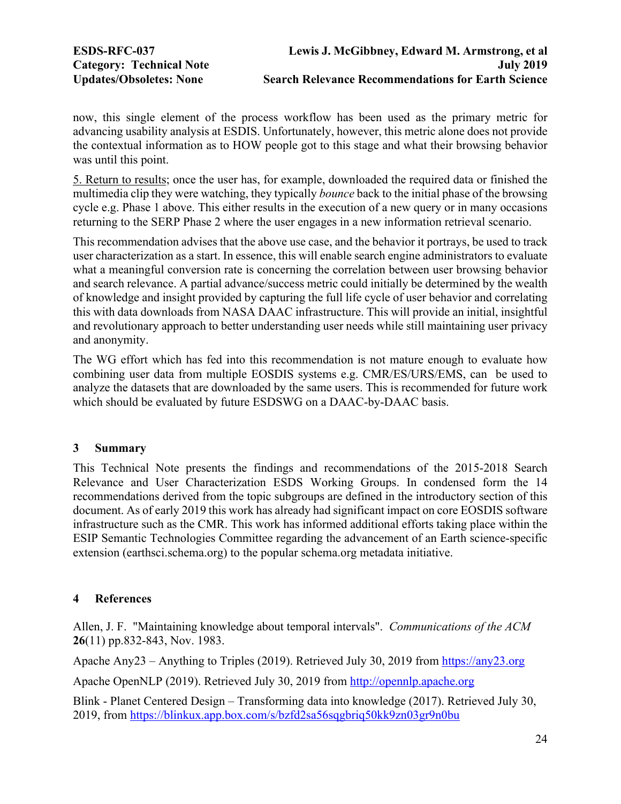<span id="page-23-0"></span>

now, this single element of the process workflow has been used as the primary metric for advancing usability analysis at ESDIS. Unfortunately, however, this metric alone does not provide the contextual information as to HOW people got to this stage and what their browsing behavior was until this point.

5. Return to results; once the user has, for example, downloaded the required data or finished the multimedia clip they were watching, they typically *bounce* back to the initial phase of the browsing cycle e.g. Phase 1 above. This either results in the execution of a new query or in many occasions returning to the SERP Phase 2 where the user engages in a new information retrieval scenario.

This recommendation advises that the above use case, and the behavior it portrays, be used to track user characterization as a start. In essence, this will enable search engine administrators to evaluate what a meaningful conversion rate is concerning the correlation between user browsing behavior and search relevance. A partial advance/success metric could initially be determined by the wealth of knowledge and insight provided by capturing the full life cycle of user behavior and correlating this with data downloads from NASA DAAC infrastructure. This will provide an initial, insightful and revolutionary approach to better understanding user needs while still maintaining user privacy and anonymity.

The WG effort which has fed into this recommendation is not mature enough to evaluate how combining user data from multiple EOSDIS systems e.g. CMR/ES/URS/EMS, can be used to analyze the datasets that are downloaded by the same users. This is recommended for future work which should be evaluated by future ESDSWG on a DAAC-by-DAAC basis.

### **3 Summary**

This Technical Note presents the findings and recommendations of the 2015-2018 Search Relevance and User Characterization ESDS Working Groups. In condensed form the 14 recommendations derived from the topic subgroups are defined in the introductory section of this document. As of early 2019 this work has already had significant impact on core EOSDIS software infrastructure such as the CMR. This work has informed additional efforts taking place within the ESIP Semantic Technologies Committee regarding the advancement of an Earth science-specific extension (earthsci.schema.org) to the popular schema.org metadata initiative.

# **4 References**

Allen, J. F. "Maintaining knowledge about temporal intervals". *Communications of the ACM* **26**(11) pp.832-843, Nov. 1983.

Apache Any23 – Anything to Triples (2019). Retrieved July 30, 2019 from https://any23.org

Apache OpenNLP (2019). Retrieved July 30, 2019 from http://opennlp.apache.org

Blink - Planet Centered Design – Transforming data into knowledge (2017). Retrieved July 30, 2019, from https://blinkux.app.box.com/s/bzfd2sa56sqgbriq50kk9zn03gr9n0bu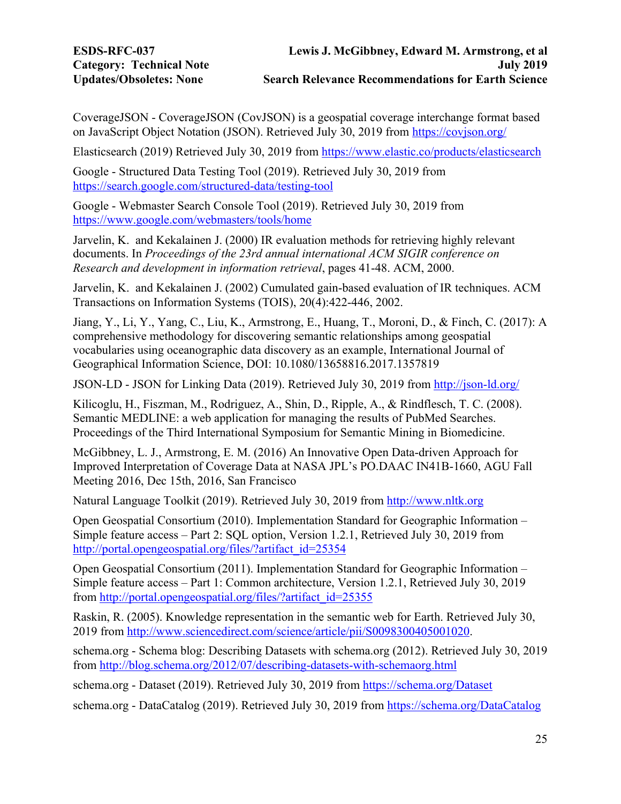CoverageJSON - CoverageJSON (CovJSON) is a geospatial coverage interchange format based on JavaScript Object Notation (JSON). Retrieved July 30, 2019 from https://covjson.org/

Elasticsearch (2019) Retrieved July 30, 2019 from https://www.elastic.co/products/elasticsearch

Google - Structured Data Testing Tool (2019). Retrieved July 30, 2019 from https://search.google.com/structured-data/testing-tool

Google - Webmaster Search Console Tool (2019). Retrieved July 30, 2019 from https://www.google.com/webmasters/tools/home

Jarvelin, K. and Kekalainen J. (2000) IR evaluation methods for retrieving highly relevant documents. In *Proceedings of the 23rd annual international ACM SIGIR conference on Research and development in information retrieval*, pages 41-48. ACM, 2000.

Jarvelin, K. and Kekalainen J. (2002) Cumulated gain-based evaluation of IR techniques. ACM Transactions on Information Systems (TOIS), 20(4):422-446, 2002.

Jiang, Y., Li, Y., Yang, C., Liu, K., Armstrong, E., Huang, T., Moroni, D., & Finch, C. (2017): A comprehensive methodology for discovering semantic relationships among geospatial vocabularies using oceanographic data discovery as an example, International Journal of Geographical Information Science, DOI: 10.1080/13658816.2017.1357819

JSON-LD - JSON for Linking Data (2019). Retrieved July 30, 2019 from http://json-ld.org/

Kilicoglu, H., Fiszman, M., Rodriguez, A., Shin, D., Ripple, A., & Rindflesch, T. C. (2008). Semantic MEDLINE: a web application for managing the results of PubMed Searches. Proceedings of the Third International Symposium for Semantic Mining in Biomedicine.

McGibbney, L. J., Armstrong, E. M. (2016) An Innovative Open Data-driven Approach for Improved Interpretation of Coverage Data at NASA JPL's PO.DAAC IN41B-1660, AGU Fall Meeting 2016, Dec 15th, 2016, San Francisco

Natural Language Toolkit (2019). Retrieved July 30, 2019 from http://www.nltk.org

Open Geospatial Consortium (2010). Implementation Standard for Geographic Information – Simple feature access – Part 2: SQL option, Version 1.2.1, Retrieved July 30, 2019 from http://portal.opengeospatial.org/files/?artifact\_id=25354

Open Geospatial Consortium (2011). Implementation Standard for Geographic Information – Simple feature access – Part 1: Common architecture, Version 1.2.1, Retrieved July 30, 2019 from http://portal.opengeospatial.org/files/?artifact\_id=25355

Raskin, R. (2005). Knowledge representation in the semantic web for Earth. Retrieved July 30, 2019 from http://www.sciencedirect.com/science/article/pii/S0098300405001020.

schema.org - Schema blog: Describing Datasets with schema.org (2012). Retrieved July 30, 2019 from http://blog.schema.org/2012/07/describing-datasets-with-schemaorg.html

schema.org - Dataset (2019). Retrieved July 30, 2019 from https://schema.org/Dataset

schema.org - DataCatalog (2019). Retrieved July 30, 2019 from https://schema.org/DataCatalog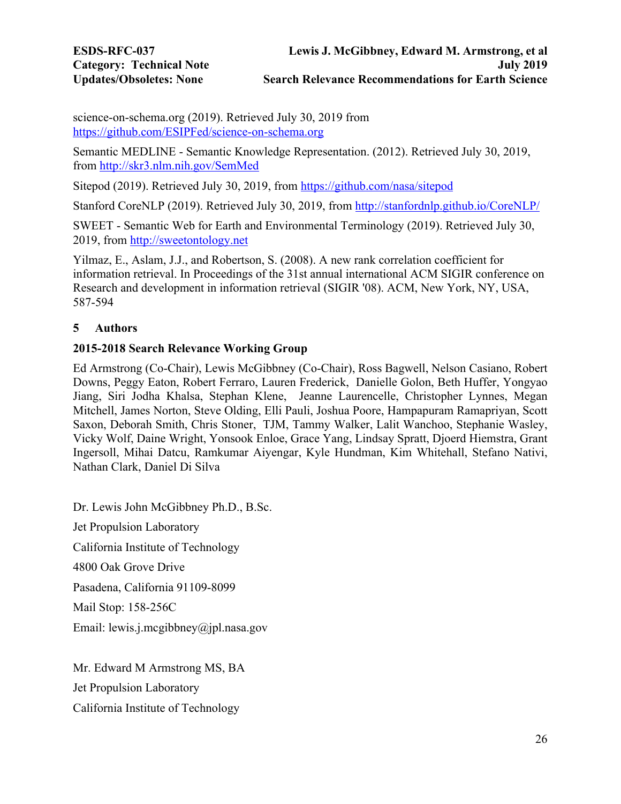<span id="page-25-0"></span>science-on-schema.org (2019). Retrieved July 30, 2019 from https://github.com/ESIPFed/science-on-schema.org

Semantic MEDLINE - Semantic Knowledge Representation. (2012). Retrieved July 30, 2019, from http://skr3.nlm.nih.gov/SemMed

Sitepod (2019). Retrieved July 30, 2019, from https://github.com/nasa/sitepod

Stanford CoreNLP (2019). Retrieved July 30, 2019, from http://stanfordnlp.github.io/CoreNLP/

SWEET - Semantic Web for Earth and Environmental Terminology (2019). Retrieved July 30, 2019, from http://sweetontology.net

Yilmaz, E., Aslam, J.J., and Robertson, S. (2008). A new rank correlation coefficient for information retrieval. In Proceedings of the 31st annual international ACM SIGIR conference on Research and development in information retrieval (SIGIR '08). ACM, New York, NY, USA, 587-594

# **5 Authors**

# **2015-2018 Search Relevance Working Group**

Ed Armstrong (Co-Chair), Lewis McGibbney (Co-Chair), Ross Bagwell, Nelson Casiano, Robert Downs, Peggy Eaton, Robert Ferraro, Lauren Frederick, Danielle Golon, Beth Huffer, Yongyao Jiang, Siri Jodha Khalsa, Stephan Klene, Jeanne Laurencelle, Christopher Lynnes, Megan Mitchell, James Norton, Steve Olding, Elli Pauli, Joshua Poore, Hampapuram Ramapriyan, Scott Saxon, Deborah Smith, Chris Stoner, TJM, Tammy Walker, Lalit Wanchoo, Stephanie Wasley, Vicky Wolf, Daine Wright, Yonsook Enloe, Grace Yang, Lindsay Spratt, Djoerd Hiemstra, Grant Ingersoll, Mihai Datcu, Ramkumar Aiyengar, Kyle Hundman, Kim Whitehall, Stefano Nativi, Nathan Clark, Daniel Di Silva

Dr. Lewis John McGibbney Ph.D., B.Sc. Jet Propulsion Laboratory California Institute of Technology 4800 Oak Grove Drive Pasadena, California 91109-8099 Mail Stop: 158-256C Email: lewis.j.mcgibbney@jpl.nasa.gov

Mr. Edward M Armstrong MS, BA Jet Propulsion Laboratory California Institute of Technology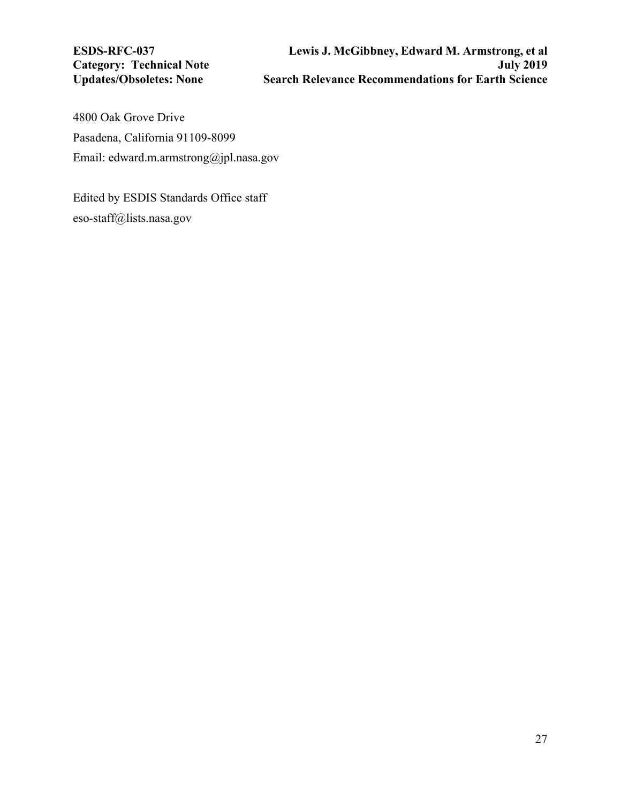**Category: Technical Note Updates/Obsoletes: None** 

4800 Oak Grove Drive Pasadena, California 91109-8099 Email: edward.m.armstrong@jpl.nasa.gov

Edited by ESDIS Standards Office staff eso-staff@lists.nasa.gov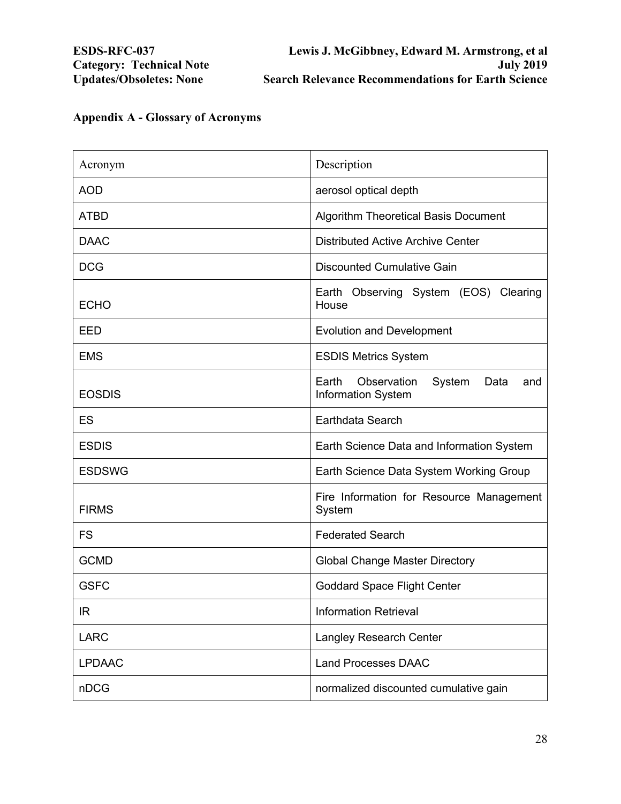| Acronym       | Description                                                         |
|---------------|---------------------------------------------------------------------|
| <b>AOD</b>    | aerosol optical depth                                               |
| <b>ATBD</b>   | <b>Algorithm Theoretical Basis Document</b>                         |
| <b>DAAC</b>   | <b>Distributed Active Archive Center</b>                            |
| <b>DCG</b>    | <b>Discounted Cumulative Gain</b>                                   |
| <b>ECHO</b>   | Earth Observing System (EOS) Clearing<br>House                      |
| EED           | <b>Evolution and Development</b>                                    |
| <b>EMS</b>    | <b>ESDIS Metrics System</b>                                         |
| <b>EOSDIS</b> | Earth<br>Observation<br>System<br>Data<br>and<br>Information System |
| ES            | Earthdata Search                                                    |
| <b>ESDIS</b>  | Earth Science Data and Information System                           |
| <b>ESDSWG</b> | Earth Science Data System Working Group                             |
| <b>FIRMS</b>  | Fire Information for Resource Management<br>System                  |
| <b>FS</b>     | <b>Federated Search</b>                                             |
| <b>GCMD</b>   | <b>Global Change Master Directory</b>                               |
| <b>GSFC</b>   | <b>Goddard Space Flight Center</b>                                  |
| <b>IR</b>     | <b>Information Retrieval</b>                                        |
| <b>LARC</b>   | <b>Langley Research Center</b>                                      |
| <b>LPDAAC</b> | <b>Land Processes DAAC</b>                                          |
| nDCG          | normalized discounted cumulative gain                               |

# <span id="page-27-0"></span>**Appendix A - Glossary of Acronyms**